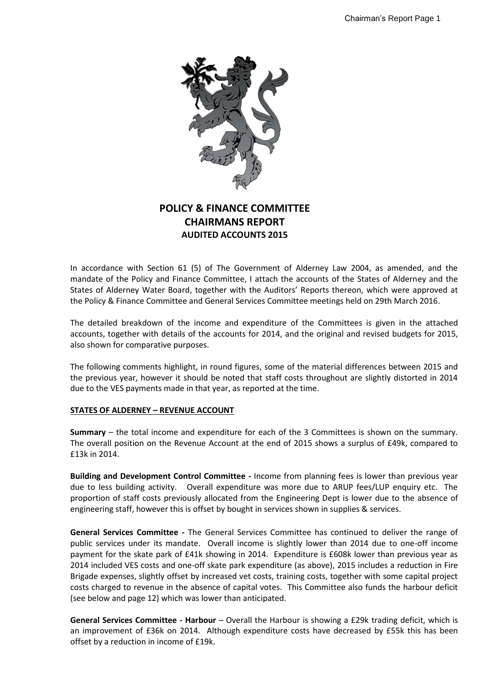

# **POLICY & FINANCE COMMITTEE CHAIRMANS REPORT AUDITED ACCOUNTS 2015**

In accordance with Section 61 (5) of The Government of Alderney Law 2004, as amended, and the mandate of the Policy and Finance Committee, I attach the accounts of the States of Alderney and the States of Alderney Water Board, together with the Auditors' Reports thereon, which were approved at the Policy & Finance Committee and General Services Committee meetings held on 29th March 2016.

The detailed breakdown of the income and expenditure of the Committees is given in the attached accounts, together with details of the accounts for 2014, and the original and revised budgets for 2015, also shown for comparative purposes.

The following comments highlight, in round figures, some of the material differences between 2015 and the previous year, however it should be noted that staff costs throughout are slightly distorted in 2014 due to the VES payments made in that year, as reported at the time.

## **STATES OF ALDERNEY – REVENUE ACCOUNT**

**Summary** – the total income and expenditure for each of the 3 Committees is shown on the summary. The overall position on the Revenue Account at the end of 2015 shows a surplus of £49k, compared to £13k in 2014.

**Building and Development Control Committee -** Income from planning fees is lower than previous year due to less building activity. Overall expenditure was more due to ARUP fees/LUP enquiry etc. The proportion of staff costs previously allocated from the Engineering Dept is lower due to the absence of engineering staff, however this is offset by bought in services shown in supplies & services.

**General Services Committee -** The General Services Committee has continued to deliver the range of public services under its mandate. Overall income is slightly lower than 2014 due to one-off income payment for the skate park of £41k showing in 2014. Expenditure is £608k lower than previous year as 2014 included VES costs and one-off skate park expenditure (as above), 2015 includes a reduction in Fire Brigade expenses, slightly offset by increased vet costs, training costs, together with some capital project costs charged to revenue in the absence of capital votes. This Committee also funds the harbour deficit (see below and page 12) which was lower than anticipated.

**General Services Committee - Harbour** – Overall the Harbour is showing a £29k trading deficit, which is an improvement of £36k on 2014. Although expenditure costs have decreased by £55k this has been offset by a reduction in income of £19k.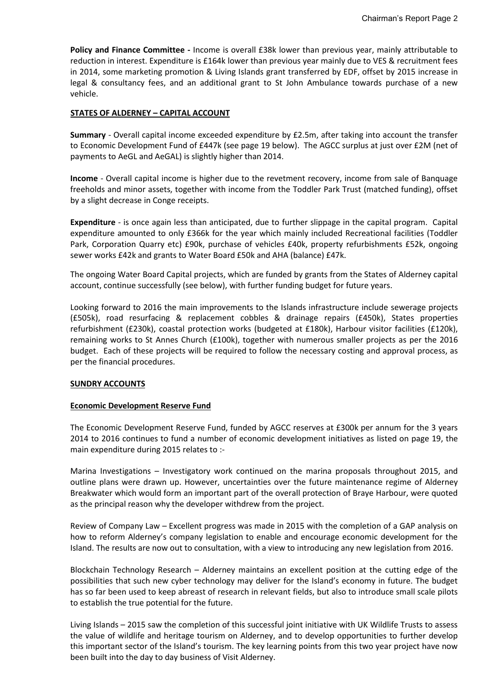**Policy and Finance Committee -** Income is overall £38k lower than previous year, mainly attributable to reduction in interest. Expenditure is £164k lower than previous year mainly due to VES & recruitment fees in 2014, some marketing promotion & Living Islands grant transferred by EDF, offset by 2015 increase in legal & consultancy fees, and an additional grant to St John Ambulance towards purchase of a new vehicle.

# **STATES OF ALDERNEY – CAPITAL ACCOUNT**

**Summary** - Overall capital income exceeded expenditure by £2.5m, after taking into account the transfer to Economic Development Fund of £447k (see page 19 below). The AGCC surplus at just over £2M (net of payments to AeGL and AeGAL) is slightly higher than 2014.

**Income** - Overall capital income is higher due to the revetment recovery, income from sale of Banquage freeholds and minor assets, together with income from the Toddler Park Trust (matched funding), offset by a slight decrease in Conge receipts.

**Expenditure** - is once again less than anticipated, due to further slippage in the capital program. Capital expenditure amounted to only £366k for the year which mainly included Recreational facilities (Toddler Park, Corporation Quarry etc) £90k, purchase of vehicles £40k, property refurbishments £52k, ongoing sewer works £42k and grants to Water Board £50k and AHA (balance) £47k.

The ongoing Water Board Capital projects, which are funded by grants from the States of Alderney capital account, continue successfully (see below), with further funding budget for future years.

Looking forward to 2016 the main improvements to the Islands infrastructure include sewerage projects (£505k), road resurfacing & replacement cobbles & drainage repairs (£450k), States properties refurbishment (£230k), coastal protection works (budgeted at £180k), Harbour visitor facilities (£120k), remaining works to St Annes Church (£100k), together with numerous smaller projects as per the 2016 budget. Each of these projects will be required to follow the necessary costing and approval process, as per the financial procedures.

## **SUNDRY ACCOUNTS**

## **Economic Development Reserve Fund**

The Economic Development Reserve Fund, funded by AGCC reserves at £300k per annum for the 3 years 2014 to 2016 continues to fund a number of economic development initiatives as listed on page 19, the main expenditure during 2015 relates to :-

Marina Investigations – Investigatory work continued on the marina proposals throughout 2015, and outline plans were drawn up. However, uncertainties over the future maintenance regime of Alderney Breakwater which would form an important part of the overall protection of Braye Harbour, were quoted as the principal reason why the developer withdrew from the project.

Review of Company Law – Excellent progress was made in 2015 with the completion of a GAP analysis on how to reform Alderney's company legislation to enable and encourage economic development for the Island. The results are now out to consultation, with a view to introducing any new legislation from 2016.

Blockchain Technology Research – Alderney maintains an excellent position at the cutting edge of the possibilities that such new cyber technology may deliver for the Island's economy in future. The budget has so far been used to keep abreast of research in relevant fields, but also to introduce small scale pilots to establish the true potential for the future.

Living Islands – 2015 saw the completion of this successful joint initiative with UK Wildlife Trusts to assess the value of wildlife and heritage tourism on Alderney, and to develop opportunities to further develop this important sector of the Island's tourism. The key learning points from this two year project have now been built into the day to day business of Visit Alderney.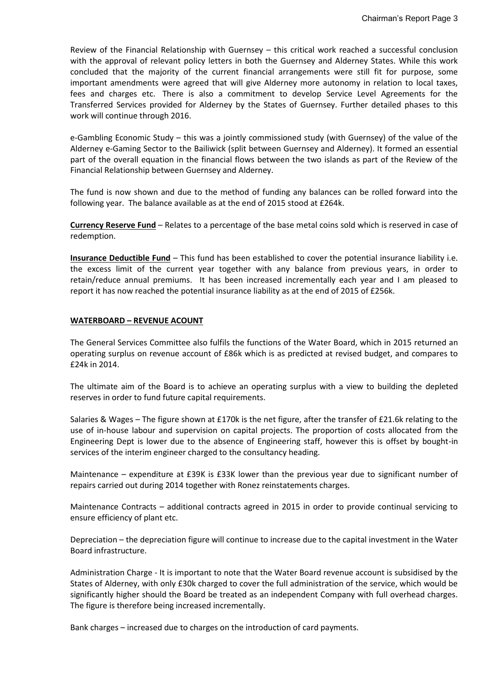Review of the Financial Relationship with Guernsey – this critical work reached a successful conclusion with the approval of relevant policy letters in both the Guernsey and Alderney States. While this work concluded that the majority of the current financial arrangements were still fit for purpose, some important amendments were agreed that will give Alderney more autonomy in relation to local taxes, fees and charges etc. There is also a commitment to develop Service Level Agreements for the Transferred Services provided for Alderney by the States of Guernsey. Further detailed phases to this work will continue through 2016.

e-Gambling Economic Study – this was a jointly commissioned study (with Guernsey) of the value of the Alderney e-Gaming Sector to the Bailiwick (split between Guernsey and Alderney). It formed an essential part of the overall equation in the financial flows between the two islands as part of the Review of the Financial Relationship between Guernsey and Alderney.

The fund is now shown and due to the method of funding any balances can be rolled forward into the following year. The balance available as at the end of 2015 stood at £264k.

**Currency Reserve Fund** – Relates to a percentage of the base metal coins sold which is reserved in case of redemption.

**Insurance Deductible Fund** – This fund has been established to cover the potential insurance liability i.e. the excess limit of the current year together with any balance from previous years, in order to retain/reduce annual premiums. It has been increased incrementally each year and I am pleased to report it has now reached the potential insurance liability as at the end of 2015 of £256k.

#### **WATERBOARD – REVENUE ACOUNT**

The General Services Committee also fulfils the functions of the Water Board, which in 2015 returned an operating surplus on revenue account of £86k which is as predicted at revised budget, and compares to £24k in 2014.

The ultimate aim of the Board is to achieve an operating surplus with a view to building the depleted reserves in order to fund future capital requirements.

Salaries & Wages – The figure shown at £170k is the net figure, after the transfer of £21.6k relating to the use of in-house labour and supervision on capital projects. The proportion of costs allocated from the Engineering Dept is lower due to the absence of Engineering staff, however this is offset by bought-in services of the interim engineer charged to the consultancy heading.

Maintenance – expenditure at £39K is £33K lower than the previous year due to significant number of repairs carried out during 2014 together with Ronez reinstatements charges.

Maintenance Contracts – additional contracts agreed in 2015 in order to provide continual servicing to ensure efficiency of plant etc.

Depreciation – the depreciation figure will continue to increase due to the capital investment in the Water Board infrastructure.

Administration Charge - It is important to note that the Water Board revenue account is subsidised by the States of Alderney, with only £30k charged to cover the full administration of the service, which would be significantly higher should the Board be treated as an independent Company with full overhead charges. The figure is therefore being increased incrementally.

Bank charges – increased due to charges on the introduction of card payments.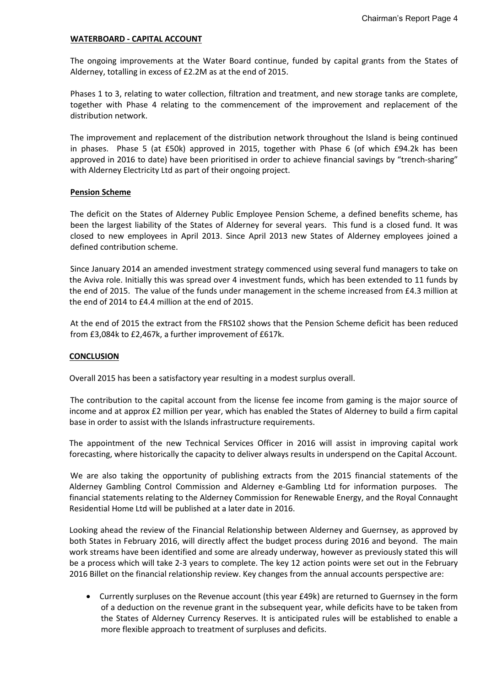#### **WATERBOARD - CAPITAL ACCOUNT**

The ongoing improvements at the Water Board continue, funded by capital grants from the States of Alderney, totalling in excess of £2.2M as at the end of 2015.

Phases 1 to 3, relating to water collection, filtration and treatment, and new storage tanks are complete, together with Phase 4 relating to the commencement of the improvement and replacement of the distribution network.

The improvement and replacement of the distribution network throughout the Island is being continued in phases. Phase 5 (at £50k) approved in 2015, together with Phase 6 (of which £94.2k has been approved in 2016 to date) have been prioritised in order to achieve financial savings by "trench-sharing" with Alderney Electricity Ltd as part of their ongoing project.

#### **Pension Scheme**

The deficit on the States of Alderney Public Employee Pension Scheme, a defined benefits scheme, has been the largest liability of the States of Alderney for several years. This fund is a closed fund. It was closed to new employees in April 2013. Since April 2013 new States of Alderney employees joined a defined contribution scheme.

Since January 2014 an amended investment strategy commenced using several fund managers to take on the Aviva role. Initially this was spread over 4 investment funds, which has been extended to 11 funds by the end of 2015. The value of the funds under management in the scheme increased from £4.3 million at the end of 2014 to £4.4 million at the end of 2015.

At the end of 2015 the extract from the FRS102 shows that the Pension Scheme deficit has been reduced from £3,084k to £2,467k, a further improvement of £617k.

## **CONCLUSION**

Overall 2015 has been a satisfactory year resulting in a modest surplus overall.

The contribution to the capital account from the license fee income from gaming is the major source of income and at approx £2 million per year, which has enabled the States of Alderney to build a firm capital base in order to assist with the Islands infrastructure requirements.

The appointment of the new Technical Services Officer in 2016 will assist in improving capital work forecasting, where historically the capacity to deliver always results in underspend on the Capital Account.

We are also taking the opportunity of publishing extracts from the 2015 financial statements of the Alderney Gambling Control Commission and Alderney e-Gambling Ltd for information purposes. The financial statements relating to the Alderney Commission for Renewable Energy, and the Royal Connaught Residential Home Ltd will be published at a later date in 2016.

Looking ahead the review of the Financial Relationship between Alderney and Guernsey, as approved by both States in February 2016, will directly affect the budget process during 2016 and beyond. The main work streams have been identified and some are already underway, however as previously stated this will be a process which will take 2-3 years to complete. The key 12 action points were set out in the February 2016 Billet on the financial relationship review. Key changes from the annual accounts perspective are:

 Currently surpluses on the Revenue account (this year £49k) are returned to Guernsey in the form of a deduction on the revenue grant in the subsequent year, while deficits have to be taken from the States of Alderney Currency Reserves. It is anticipated rules will be established to enable a more flexible approach to treatment of surpluses and deficits.